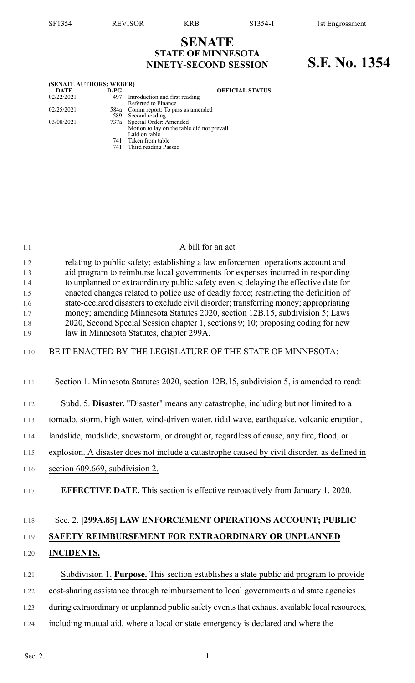## **SENATE STATE OF MINNESOTA NINETY-SECOND SESSION S.F. No. 1354**

| (SENATE AUTHORS: WEBER) |            |                                                                                            |
|-------------------------|------------|--------------------------------------------------------------------------------------------|
| <b>DATE</b>             | $D-PG$     | <b>OFFICIAL STATUS</b>                                                                     |
| 02/22/2021              | 497        | Introduction and first reading<br>Referred to Finance                                      |
| 02/25/2021              | 589        | 584a Comm report: To pass as amended<br>Second reading                                     |
| 03/08/2021              |            | 737a Special Order: Amended<br>Motion to lay on the table did not prevail<br>Laid on table |
|                         | 741<br>741 | Taken from table<br>Third reading Passed                                                   |

| 1.1        | A bill for an act                                                                                                                                                           |
|------------|-----------------------------------------------------------------------------------------------------------------------------------------------------------------------------|
| 1.2<br>1.3 | relating to public safety; establishing a law enforcement operations account and<br>aid program to reimburse local governments for expenses incurred in responding          |
| 1.4<br>1.5 | to unplanned or extraordinary public safety events; delaying the effective date for<br>enacted changes related to police use of deadly force; restricting the definition of |
| 1.6        | state-declared disasters to exclude civil disorder; transferring money; appropriating                                                                                       |
| 1.7        | money; amending Minnesota Statutes 2020, section 12B.15, subdivision 5; Laws                                                                                                |
| 1.8<br>1.9 | 2020, Second Special Session chapter 1, sections 9; 10; proposing coding for new<br>law in Minnesota Statutes, chapter 299A.                                                |
| 1.10       | BE IT ENACTED BY THE LEGISLATURE OF THE STATE OF MINNESOTA:                                                                                                                 |
| 1.11       | Section 1. Minnesota Statutes 2020, section 12B.15, subdivision 5, is amended to read:                                                                                      |
| 1.12       | Subd. 5. Disaster. "Disaster" means any catastrophe, including but not limited to a                                                                                         |
| 1.13       | tornado, storm, high water, wind-driven water, tidal wave, earthquake, volcanic eruption,                                                                                   |
| 1.14       | landslide, mudslide, snowstorm, or drought or, regardless of cause, any fire, flood, or                                                                                     |
| 1.15       | explosion. A disaster does not include a catastrophe caused by civil disorder, as defined in                                                                                |
| 1.16       | section 609.669, subdivision 2.                                                                                                                                             |
| 1.17       | <b>EFFECTIVE DATE.</b> This section is effective retroactively from January 1, 2020.                                                                                        |
| 1.18       | Sec. 2. [299A.85] LAW ENFORCEMENT OPERATIONS ACCOUNT; PUBLIC                                                                                                                |
| 1.19       | SAFETY REIMBURSEMENT FOR EXTRAORDINARY OR UNPLANNED                                                                                                                         |
| 1.20       | <b>INCIDENTS.</b>                                                                                                                                                           |
| 1.21       | Subdivision 1. Purpose. This section establishes a state public aid program to provide                                                                                      |
| 1.22       | cost-sharing assistance through reimbursement to local governments and state agencies                                                                                       |
| 1.23       | during extraordinary or unplanned public safety events that exhaust available local resources,                                                                              |
| 1.24       | including mutual aid, where a local or state emergency is declared and where the                                                                                            |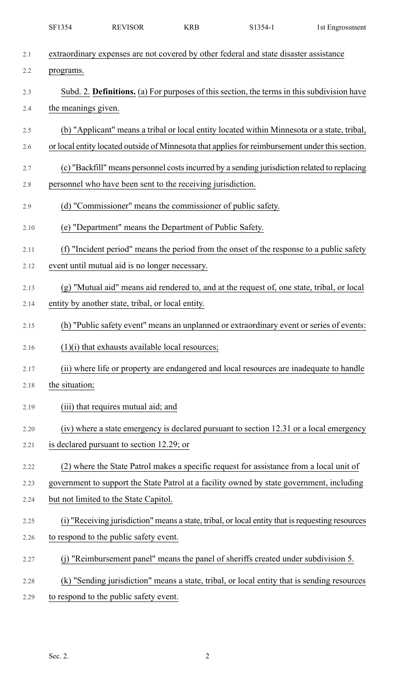|      | SF1354              | <b>REVISOR</b>                                                                                   | <b>KRB</b> | S1354-1 | 1st Engrossment |
|------|---------------------|--------------------------------------------------------------------------------------------------|------------|---------|-----------------|
| 2.1  |                     | extraordinary expenses are not covered by other federal and state disaster assistance            |            |         |                 |
| 2.2  | programs.           |                                                                                                  |            |         |                 |
| 2.3  |                     | Subd. 2. Definitions. (a) For purposes of this section, the terms in this subdivision have       |            |         |                 |
| 2.4  | the meanings given. |                                                                                                  |            |         |                 |
| 2.5  |                     | (b) "Applicant" means a tribal or local entity located within Minnesota or a state, tribal,      |            |         |                 |
| 2.6  |                     | or local entity located outside of Minnesota that applies for reimbursement under this section.  |            |         |                 |
| 2.7  |                     | (c) "Backfill" means personnel costs incurred by a sending jurisdiction related to replacing     |            |         |                 |
| 2.8  |                     | personnel who have been sent to the receiving jurisdiction.                                      |            |         |                 |
| 2.9  |                     | (d) "Commissioner" means the commissioner of public safety.                                      |            |         |                 |
| 2.10 |                     | (e) "Department" means the Department of Public Safety.                                          |            |         |                 |
| 2.11 |                     | (f) "Incident period" means the period from the onset of the response to a public safety         |            |         |                 |
| 2.12 |                     | event until mutual aid is no longer necessary.                                                   |            |         |                 |
| 2.13 |                     | (g) "Mutual aid" means aid rendered to, and at the request of, one state, tribal, or local       |            |         |                 |
| 2.14 |                     | entity by another state, tribal, or local entity.                                                |            |         |                 |
| 2.15 |                     | (h) "Public safety event" means an unplanned or extraordinary event or series of events:         |            |         |                 |
| 2.16 |                     | $(1)(i)$ that exhausts available local resources;                                                |            |         |                 |
| 2.17 |                     | (ii) where life or property are endangered and local resources are inadequate to handle          |            |         |                 |
| 2.18 | the situation;      |                                                                                                  |            |         |                 |
| 2.19 |                     | (iii) that requires mutual aid; and                                                              |            |         |                 |
| 2.20 |                     | (iv) where a state emergency is declared pursuant to section 12.31 or a local emergency          |            |         |                 |
| 2.21 |                     | is declared pursuant to section 12.29; or                                                        |            |         |                 |
| 2.22 |                     | (2) where the State Patrol makes a specific request for assistance from a local unit of          |            |         |                 |
| 2.23 |                     | government to support the State Patrol at a facility owned by state government, including        |            |         |                 |
| 2.24 |                     | but not limited to the State Capitol.                                                            |            |         |                 |
| 2.25 |                     | (i) "Receiving jurisdiction" means a state, tribal, or local entity that is requesting resources |            |         |                 |
| 2.26 |                     | to respond to the public safety event.                                                           |            |         |                 |
| 2.27 |                     | "Reimbursement panel" means the panel of sheriffs created under subdivision 5.                   |            |         |                 |
| 2.28 |                     | (k) "Sending jurisdiction" means a state, tribal, or local entity that is sending resources      |            |         |                 |
| 2.29 |                     | to respond to the public safety event.                                                           |            |         |                 |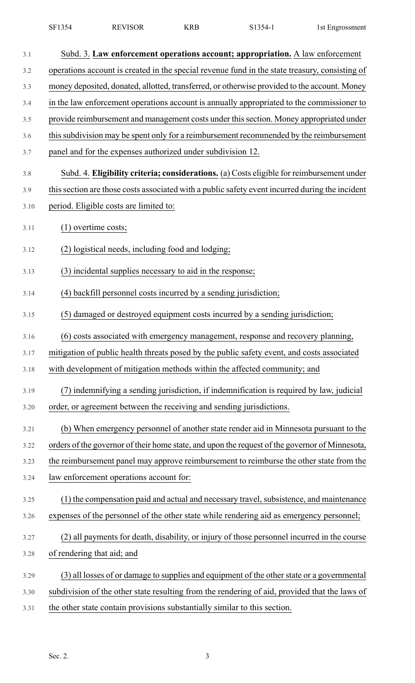| SF1354 | <b>REVISOR</b> | KRE | $1354-$<br>ر د ۱ | 1st Engrossment |
|--------|----------------|-----|------------------|-----------------|
|--------|----------------|-----|------------------|-----------------|

| 3.1  | Subd. 3. Law enforcement operations account; appropriation. A law enforcement                   |
|------|-------------------------------------------------------------------------------------------------|
| 3.2  | operations account is created in the special revenue fund in the state treasury, consisting of  |
| 3.3  | money deposited, donated, allotted, transferred, or otherwise provided to the account. Money    |
| 3.4  | in the law enforcement operations account is annually appropriated to the commissioner to       |
| 3.5  | provide reimbursement and management costs under this section. Money appropriated under         |
| 3.6  | this subdivision may be spent only for a reimbursement recommended by the reimbursement         |
| 3.7  | panel and for the expenses authorized under subdivision 12.                                     |
| 3.8  | Subd. 4. Eligibility criteria; considerations. (a) Costs eligible for reimbursement under       |
| 3.9  | this section are those costs associated with a public safety event incurred during the incident |
| 3.10 | period. Eligible costs are limited to:                                                          |
| 3.11 | $(1)$ overtime costs;                                                                           |
| 3.12 | (2) logistical needs, including food and lodging;                                               |
| 3.13 | (3) incidental supplies necessary to aid in the response;                                       |
| 3.14 | (4) backfill personnel costs incurred by a sending jurisdiction;                                |
| 3.15 | (5) damaged or destroyed equipment costs incurred by a sending jurisdiction;                    |
| 3.16 | (6) costs associated with emergency management, response and recovery planning,                 |
| 3.17 | mitigation of public health threats posed by the public safety event, and costs associated      |
| 3.18 | with development of mitigation methods within the affected community; and                       |
| 3.19 | (7) indemnifying a sending jurisdiction, if indemnification is required by law, judicial        |
| 3.20 | order, or agreement between the receiving and sending jurisdictions.                            |
| 3.21 | (b) When emergency personnel of another state render aid in Minnesota pursuant to the           |
| 3.22 | orders of the governor of their home state, and upon the request of the governor of Minnesota,  |
| 3.23 | the reimbursement panel may approve reimbursement to reimburse the other state from the         |
| 3.24 | law enforcement operations account for:                                                         |
| 3.25 | (1) the compensation paid and actual and necessary travel, subsistence, and maintenance         |
| 3.26 | expenses of the personnel of the other state while rendering aid as emergency personnel;        |
| 3.27 | (2) all payments for death, disability, or injury of those personnel incurred in the course     |
| 3.28 | of rendering that aid; and                                                                      |
| 3.29 | (3) all losses of or damage to supplies and equipment of the other state or a governmental      |
| 3.30 | subdivision of the other state resulting from the rendering of aid, provided that the laws of   |
| 3.31 | the other state contain provisions substantially similar to this section.                       |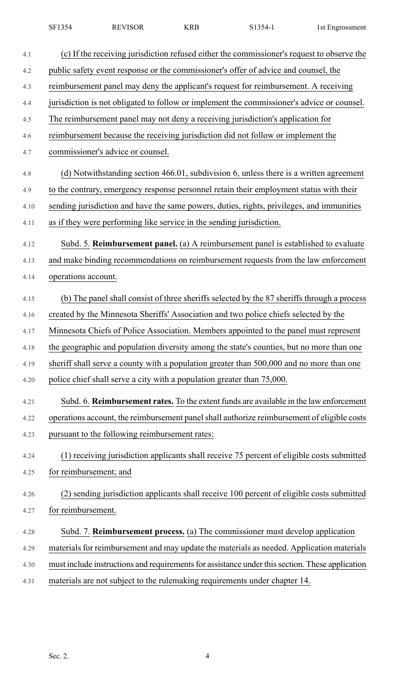| SF1354 | <b>REVISOR</b> | KRB | $S1354-$ | 1st Engrossment |
|--------|----------------|-----|----------|-----------------|
|        |                |     |          |                 |

| 4.1  | (c) If the receiving jurisdiction refused either the commissioner's request to observe the      |
|------|-------------------------------------------------------------------------------------------------|
| 4.2  | public safety event response or the commissioner's offer of advice and counsel, the             |
| 4.3  | reimbursement panel may deny the applicant's request for reimbursement. A receiving             |
| 4.4  | jurisdiction is not obligated to follow or implement the commissioner's advice or counsel.      |
| 4.5  | The reimbursement panel may not deny a receiving jurisdiction's application for                 |
| 4.6  | reimbursement because the receiving jurisdiction did not follow or implement the                |
| 4.7  | commissioner's advice or counsel.                                                               |
| 4.8  | (d) Notwithstanding section 466.01, subdivision 6, unless there is a written agreement          |
| 4.9  | to the contrary, emergency response personnel retain their employment status with their         |
| 4.10 | sending jurisdiction and have the same powers, duties, rights, privileges, and immunities       |
| 4.11 | as if they were performing like service in the sending jurisdiction.                            |
| 4.12 | Subd. 5. Reimbursement panel. (a) A reimbursement panel is established to evaluate              |
| 4.13 | and make binding recommendations on reimbursement requests from the law enforcement             |
| 4.14 | operations account.                                                                             |
| 4.15 | (b) The panel shall consist of three sheriffs selected by the 87 sheriffs through a process     |
| 4.16 | created by the Minnesota Sheriffs' Association and two police chiefs selected by the            |
| 4.17 | Minnesota Chiefs of Police Association. Members appointed to the panel must represent           |
| 4.18 | the geographic and population diversity among the state's counties, but no more than one        |
| 4.19 | sheriff shall serve a county with a population greater than 500,000 and no more than one        |
| 4.20 | police chief shall serve a city with a population greater than 75,000.                          |
| 4.21 | Subd. 6. Reimbursement rates. To the extent funds are available in the law enforcement          |
| 4.22 | operations account, the reimbursement panel shall authorize reimbursement of eligible costs     |
| 4.23 | pursuant to the following reimbursement rates:                                                  |
| 4.24 | (1) receiving jurisdiction applicants shall receive 75 percent of eligible costs submitted      |
| 4.25 | for reimbursement; and                                                                          |
| 4.26 | (2) sending jurisdiction applicants shall receive 100 percent of eligible costs submitted       |
| 4.27 | for reimbursement.                                                                              |
| 4.28 | Subd. 7. Reimbursement process. (a) The commissioner must develop application                   |
| 4.29 | materials for reimbursement and may update the materials as needed. Application materials       |
| 4.30 | must include instructions and requirements for assistance under this section. These application |
| 4.31 | materials are not subject to the rulemaking requirements under chapter 14.                      |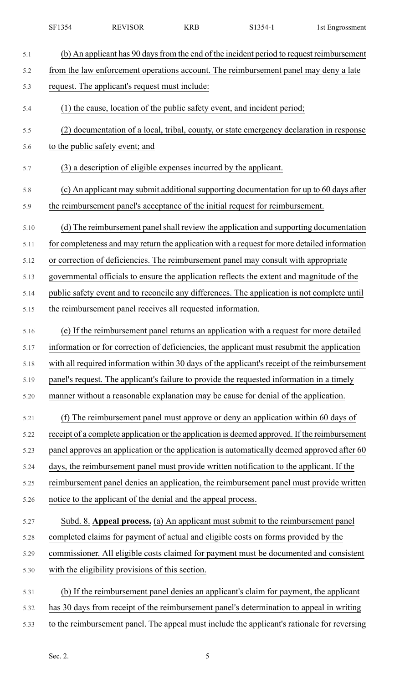| 5.1  | (b) An applicant has 90 days from the end of the incident period to request reimbursement     |
|------|-----------------------------------------------------------------------------------------------|
| 5.2  | from the law enforcement operations account. The reimbursement panel may deny a late          |
| 5.3  | request. The applicant's request must include:                                                |
| 5.4  | (1) the cause, location of the public safety event, and incident period;                      |
| 5.5  | (2) documentation of a local, tribal, county, or state emergency declaration in response      |
| 5.6  | to the public safety event; and                                                               |
| 5.7  | (3) a description of eligible expenses incurred by the applicant.                             |
| 5.8  | (c) An applicant may submit additional supporting documentation for up to 60 days after       |
| 5.9  | the reimbursement panel's acceptance of the initial request for reimbursement.                |
| 5.10 | (d) The reimbursement panel shall review the application and supporting documentation         |
| 5.11 | for completeness and may return the application with a request for more detailed information  |
| 5.12 | or correction of deficiencies. The reimbursement panel may consult with appropriate           |
| 5.13 | governmental officials to ensure the application reflects the extent and magnitude of the     |
| 5.14 | public safety event and to reconcile any differences. The application is not complete until   |
| 5.15 | the reimbursement panel receives all requested information.                                   |
| 5.16 | (e) If the reimbursement panel returns an application with a request for more detailed        |
| 5.17 | information or for correction of deficiencies, the applicant must resubmit the application    |
| 5.18 | with all required information within 30 days of the applicant's receipt of the reimbursement  |
| 5.19 | panel's request. The applicant's failure to provide the requested information in a timely     |
| 5.20 | manner without a reasonable explanation may be cause for denial of the application.           |
| 5.21 | (f) The reimbursement panel must approve or deny an application within 60 days of             |
| 5.22 | receipt of a complete application or the application is deemed approved. If the reimbursement |
| 5.23 | panel approves an application or the application is automatically deemed approved after 60    |
| 5.24 | days, the reimbursement panel must provide written notification to the applicant. If the      |
| 5.25 | reimbursement panel denies an application, the reimbursement panel must provide written       |
| 5.26 | notice to the applicant of the denial and the appeal process.                                 |
| 5.27 | Subd. 8. Appeal process. (a) An applicant must submit to the reimbursement panel              |
| 5.28 | completed claims for payment of actual and eligible costs on forms provided by the            |
| 5.29 | commissioner. All eligible costs claimed for payment must be documented and consistent        |
| 5.30 | with the eligibility provisions of this section.                                              |
| 5.31 | (b) If the reimbursement panel denies an applicant's claim for payment, the applicant         |
| 5.32 | has 30 days from receipt of the reimbursement panel's determination to appeal in writing      |
| 5.33 | to the reimbursement panel. The appeal must include the applicant's rationale for reversing   |

SF1354 REVISOR KRB S1354-1 1st Engrossment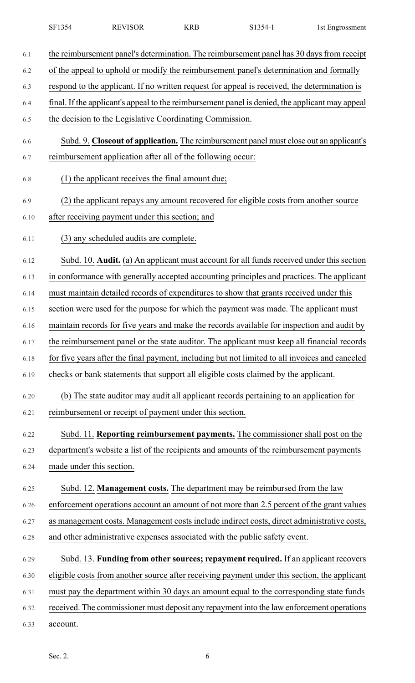| SF1354 | <b>REVISOR</b> | KRB | $1354-$ | 1st Engrossment |
|--------|----------------|-----|---------|-----------------|
|        |                |     |         |                 |

| 6.1  | the reimbursement panel's determination. The reimbursement panel has 30 days from receipt       |
|------|-------------------------------------------------------------------------------------------------|
| 6.2  | of the appeal to uphold or modify the reimbursement panel's determination and formally          |
| 6.3  | respond to the applicant. If no written request for appeal is received, the determination is    |
| 6.4  | final. If the applicant's appeal to the reimbursement panel is denied, the applicant may appeal |
| 6.5  | the decision to the Legislative Coordinating Commission.                                        |
| 6.6  | Subd. 9. Closeout of application. The reimbursement panel must close out an applicant's         |
| 6.7  | reimbursement application after all of the following occur:                                     |
| 6.8  | (1) the applicant receives the final amount due;                                                |
| 6.9  | (2) the applicant repays any amount recovered for eligible costs from another source            |
| 6.10 | after receiving payment under this section; and                                                 |
| 6.11 | (3) any scheduled audits are complete.                                                          |
| 6.12 | Subd. 10. Audit. (a) An applicant must account for all funds received under this section        |
| 6.13 | in conformance with generally accepted accounting principles and practices. The applicant       |
| 6.14 | must maintain detailed records of expenditures to show that grants received under this          |
| 6.15 | section were used for the purpose for which the payment was made. The applicant must            |
| 6.16 | maintain records for five years and make the records available for inspection and audit by      |
| 6.17 | the reimbursement panel or the state auditor. The applicant must keep all financial records     |
| 6.18 | for five years after the final payment, including but not limited to all invoices and canceled  |
| 6.19 | checks or bank statements that support all eligible costs claimed by the applicant.             |
| 6.20 | (b) The state auditor may audit all applicant records pertaining to an application for          |
| 6.21 | reimbursement or receipt of payment under this section.                                         |
| 6.22 | Subd. 11. Reporting reimbursement payments. The commissioner shall post on the                  |
| 6.23 | department's website a list of the recipients and amounts of the reimbursement payments         |
| 6.24 | made under this section.                                                                        |
| 6.25 | Subd. 12. Management costs. The department may be reimbursed from the law                       |
| 6.26 | enforcement operations account an amount of not more than 2.5 percent of the grant values       |
| 6.27 | as management costs. Management costs include indirect costs, direct administrative costs,      |
| 6.28 | and other administrative expenses associated with the public safety event.                      |
| 6.29 | Subd. 13. Funding from other sources; repayment required. If an applicant recovers              |
| 6.30 | eligible costs from another source after receiving payment under this section, the applicant    |
| 6.31 | must pay the department within 30 days an amount equal to the corresponding state funds         |
| 6.32 | received. The commissioner must deposit any repayment into the law enforcement operations       |
| 6.33 | account.                                                                                        |